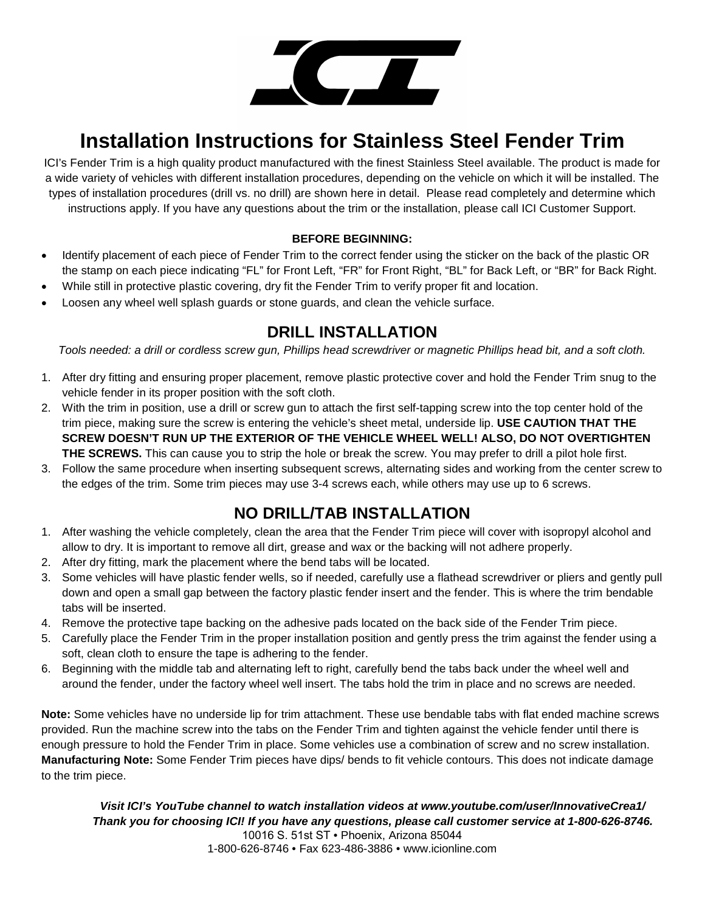

# **Installation Instructions for Stainless Steel Fender Trim**

ICI's Fender Trim is a high quality product manufactured with the finest Stainless Steel available. The product is made for a wide variety of vehicles with different installation procedures, depending on the vehicle on which it will be installed. The types of installation procedures (drill vs. no drill) are shown here in detail. Please read completely and determine which instructions apply. If you have any questions about the trim or the installation, please call ICI Customer Support.

#### **BEFORE BEGINNING:**

- Identify placement of each piece of Fender Trim to the correct fender using the sticker on the back of the plastic OR the stamp on each piece indicating "FL" for Front Left, "FR" for Front Right, "BL" for Back Left, or "BR" for Back Right.
- While still in protective plastic covering, dry fit the Fender Trim to verify proper fit and location.
- Loosen any wheel well splash guards or stone guards, and clean the vehicle surface.

#### **DRILL INSTALLATION**

*Tools needed: a drill or cordless screw gun, Phillips head screwdriver or magnetic Phillips head bit, and a soft cloth.*

- 1. After dry fitting and ensuring proper placement, remove plastic protective cover and hold the Fender Trim snug to the vehicle fender in its proper position with the soft cloth.
- 2. With the trim in position, use a drill or screw gun to attach the first self-tapping screw into the top center hold of the trim piece, making sure the screw is entering the vehicle's sheet metal, underside lip. **USE CAUTION THAT THE SCREW DOESN'T RUN UP THE EXTERIOR OF THE VEHICLE WHEEL WELL! ALSO, DO NOT OVERTIGHTEN THE SCREWS.** This can cause you to strip the hole or break the screw. You may prefer to drill a pilot hole first.
- 3. Follow the same procedure when inserting subsequent screws, alternating sides and working from the center screw to the edges of the trim. Some trim pieces may use 3-4 screws each, while others may use up to 6 screws.

### **NO DRILL/TAB INSTALLATION**

- 1. After washing the vehicle completely, clean the area that the Fender Trim piece will cover with isopropyl alcohol and allow to dry. It is important to remove all dirt, grease and wax or the backing will not adhere properly.
- 2. After dry fitting, mark the placement where the bend tabs will be located.
- 3. Some vehicles will have plastic fender wells, so if needed, carefully use a flathead screwdriver or pliers and gently pull down and open a small gap between the factory plastic fender insert and the fender. This is where the trim bendable tabs will be inserted.
- 4. Remove the protective tape backing on the adhesive pads located on the back side of the Fender Trim piece.
- 5. Carefully place the Fender Trim in the proper installation position and gently press the trim against the fender using a soft, clean cloth to ensure the tape is adhering to the fender.
- 6. Beginning with the middle tab and alternating left to right, carefully bend the tabs back under the wheel well and around the fender, under the factory wheel well insert. The tabs hold the trim in place and no screws are needed.

**Note:** Some vehicles have no underside lip for trim attachment. These use bendable tabs with flat ended machine screws provided. Run the machine screw into the tabs on the Fender Trim and tighten against the vehicle fender until there is enough pressure to hold the Fender Trim in place. Some vehicles use a combination of screw and no screw installation. **Manufacturing Note:** Some Fender Trim pieces have dips/ bends to fit vehicle contours. This does not indicate damage to the trim piece.

*Visit ICI's YouTube channel to watch installation videos at www.youtube.com/user/InnovativeCrea1/ Thank you for choosing ICI! If you have any questions, please call customer service at 1-800-626-8746.* 10016 S. 51st ST • Phoenix, Arizona 85044 1-800-626-8746 • Fax 623-486-3886 • www.icionline.com